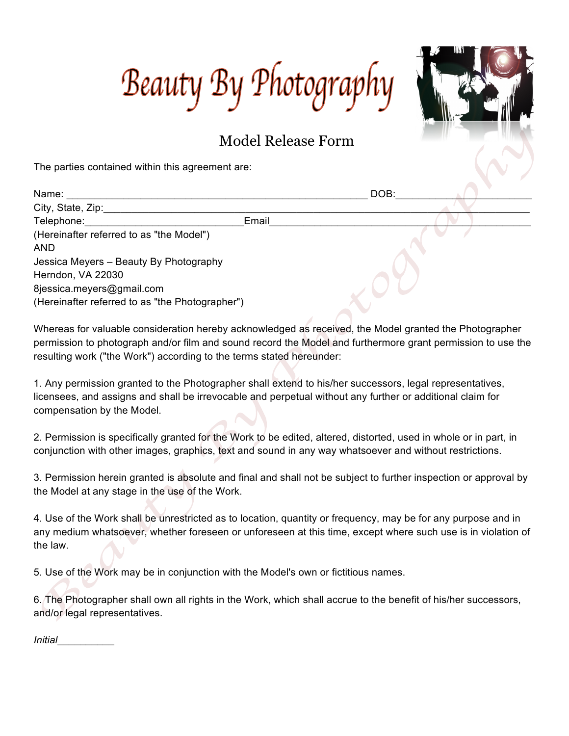## Beauty By Photography



## Model Release Form

The parties contained within this agreement are:

| Name:<br>DOB:                                   |  |
|-------------------------------------------------|--|
| City, State, Zip:                               |  |
| Telephone:<br>Email                             |  |
| (Hereinafter referred to as "the Model")        |  |
| <b>AND</b>                                      |  |
| Jessica Meyers - Beauty By Photography          |  |
| Herndon, VA 22030                               |  |
| 8 jessica.meyers@gmail.com                      |  |
| (Hereinafter referred to as "the Photographer") |  |

Whereas for valuable consideration hereby acknowledged as received, the Model granted the Photographer permission to photograph and/or film and sound record the Model and furthermore grant permission to use the resulting work ("the Work") according to the terms stated hereunder:

1. Any permission granted to the Photographer shall extend to his/her successors, legal representatives, licensees, and assigns and shall be irrevocable and perpetual without any further or additional claim for compensation by the Model.

2. Permission is specifically granted for the Work to be edited, altered, distorted, used in whole or in part, in conjunction with other images, graphics, text and sound in any way whatsoever and without restrictions.

3. Permission herein granted is absolute and final and shall not be subject to further inspection or approval by the Model at any stage in the use of the Work.

4. Use of the Work shall be unrestricted as to location, quantity or frequency, may be for any purpose and in any medium whatsoever, whether foreseen or unforeseen at this time, except where such use is in violation of the law.

5. Use of the Work may be in conjunction with the Model's own or fictitious names.

6. The Photographer shall own all rights in the Work, which shall accrue to the benefit of his/her successors, and/or legal representatives.

*Initial*\_\_\_\_\_\_\_\_\_\_